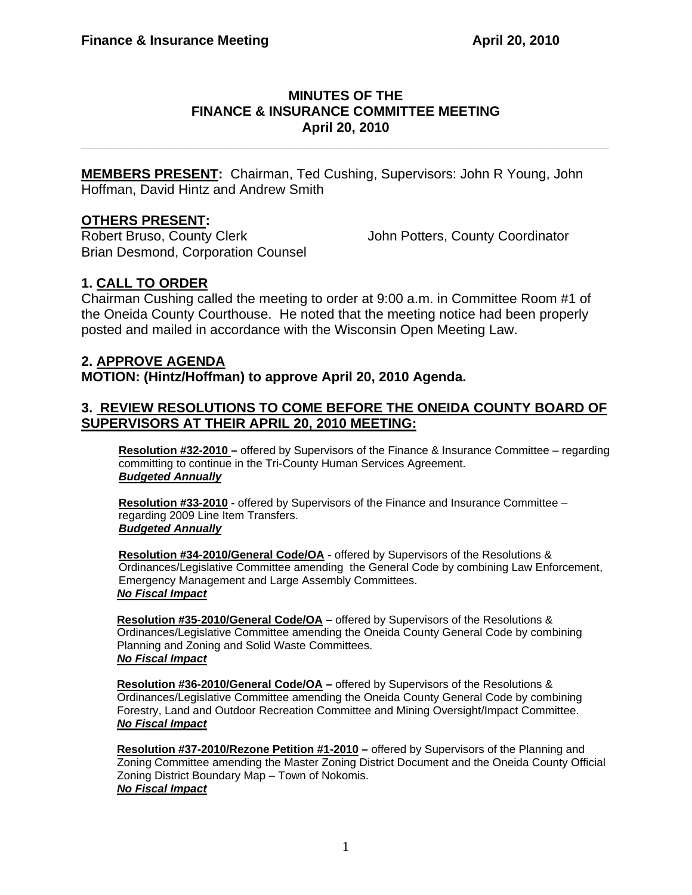### **MINUTES OF THE FINANCE & INSURANCE COMMITTEE MEETING April 20, 2010**

**\_\_\_\_\_\_\_\_\_\_\_\_\_\_\_\_\_\_\_\_\_\_\_\_\_\_\_\_\_\_\_\_\_\_\_\_\_\_\_\_\_\_\_\_\_\_\_\_\_\_\_\_\_\_\_\_\_\_\_\_\_\_\_\_\_\_\_\_\_\_** 

**MEMBERS PRESENT:** Chairman, Ted Cushing, Supervisors: John R Young, John Hoffman, David Hintz and Andrew Smith

### **OTHERS PRESENT:**

Robert Bruso, County Clerk John Potters, County Coordinator Brian Desmond, Corporation Counsel

# **1. CALL TO ORDER**

Chairman Cushing called the meeting to order at 9:00 a.m. in Committee Room #1 of the Oneida County Courthouse. He noted that the meeting notice had been properly posted and mailed in accordance with the Wisconsin Open Meeting Law.

## **2. APPROVE AGENDA**

**MOTION: (Hintz/Hoffman) to approve April 20, 2010 Agenda.** 

### **3. REVIEW RESOLUTIONS TO COME BEFORE THE ONEIDA COUNTY BOARD OF SUPERVISORS AT THEIR APRIL 20, 2010 MEETING:**

**Resolution #32-2010 –** offered by Supervisors of the Finance & Insurance Committee – regarding committing to continue in the Tri-County Human Services Agreement. *Budgeted Annually*

**Resolution #33-2010 -** offered by Supervisors of the Finance and Insurance Committee – regarding 2009 Line Item Transfers. *Budgeted Annually*

**Resolution #34-2010/General Code/OA -** offered by Supervisors of the Resolutions & Ordinances/Legislative Committee amending the General Code by combining Law Enforcement, Emergency Management and Large Assembly Committees. *No Fiscal Impact*

**Resolution #35-2010/General Code/OA –** offered by Supervisors of the Resolutions & Ordinances/Legislative Committee amending the Oneida County General Code by combining Planning and Zoning and Solid Waste Committees. *No Fiscal Impact*

**Resolution #36-2010/General Code/OA –** offered by Supervisors of the Resolutions & Ordinances/Legislative Committee amending the Oneida County General Code by combining Forestry, Land and Outdoor Recreation Committee and Mining Oversight/Impact Committee. *No Fiscal Impact*

**Resolution #37-2010/Rezone Petition #1-2010 –** offered by Supervisors of the Planning and Zoning Committee amending the Master Zoning District Document and the Oneida County Official Zoning District Boundary Map – Town of Nokomis. *No Fiscal Impact*